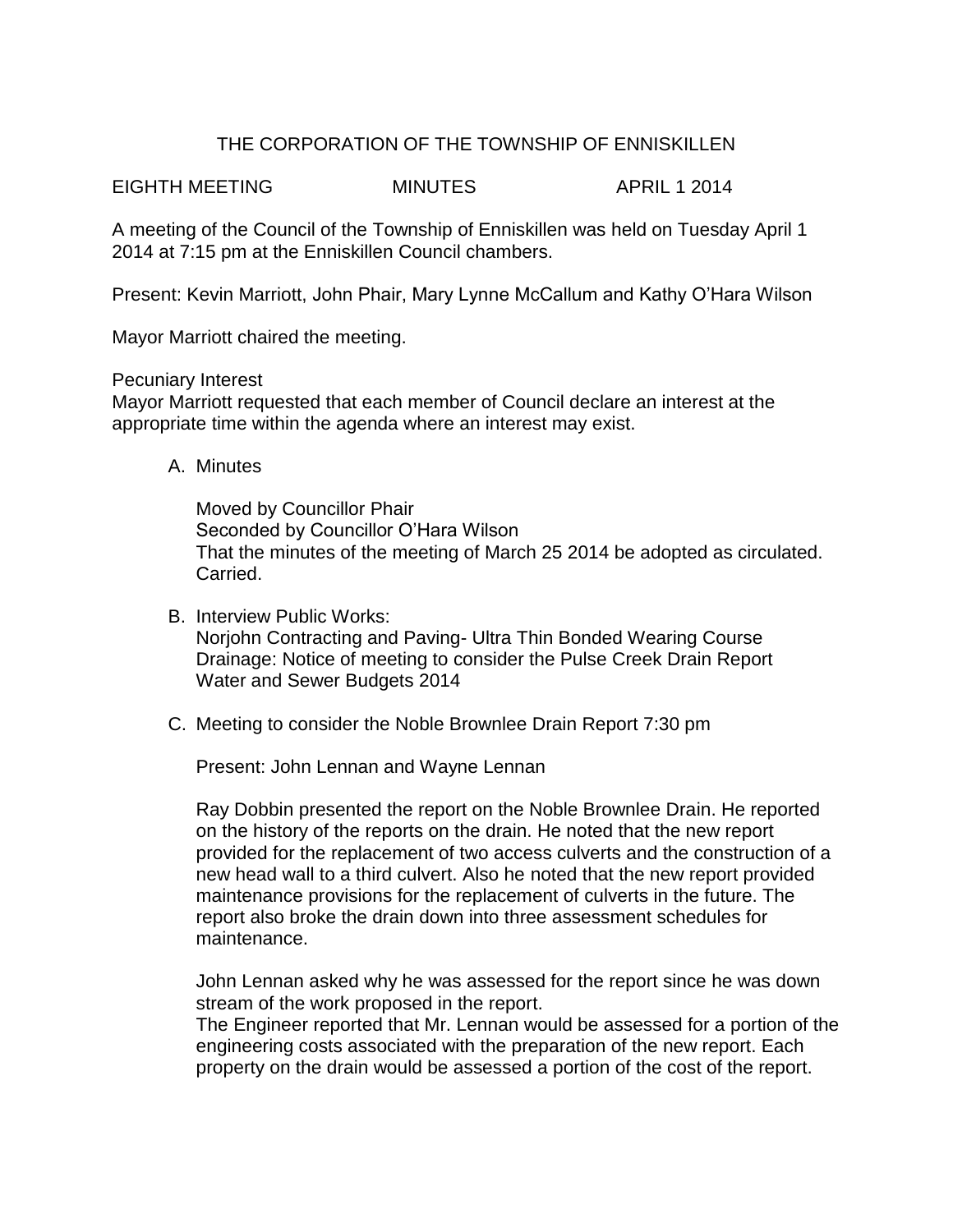# THE CORPORATION OF THE TOWNSHIP OF ENNISKILLEN

EIGHTH MEETING MINUTES APRIL 1 2014

A meeting of the Council of the Township of Enniskillen was held on Tuesday April 1 2014 at 7:15 pm at the Enniskillen Council chambers.

Present: Kevin Marriott, John Phair, Mary Lynne McCallum and Kathy O'Hara Wilson

Mayor Marriott chaired the meeting.

Pecuniary Interest

Mayor Marriott requested that each member of Council declare an interest at the appropriate time within the agenda where an interest may exist.

A. Minutes

Moved by Councillor Phair Seconded by Councillor O'Hara Wilson That the minutes of the meeting of March 25 2014 be adopted as circulated. Carried.

- B. Interview Public Works: Norjohn Contracting and Paving- Ultra Thin Bonded Wearing Course Drainage: Notice of meeting to consider the Pulse Creek Drain Report Water and Sewer Budgets 2014
- C. Meeting to consider the Noble Brownlee Drain Report 7:30 pm

Present: John Lennan and Wayne Lennan

Ray Dobbin presented the report on the Noble Brownlee Drain. He reported on the history of the reports on the drain. He noted that the new report provided for the replacement of two access culverts and the construction of a new head wall to a third culvert. Also he noted that the new report provided maintenance provisions for the replacement of culverts in the future. The report also broke the drain down into three assessment schedules for maintenance.

John Lennan asked why he was assessed for the report since he was down stream of the work proposed in the report.

The Engineer reported that Mr. Lennan would be assessed for a portion of the engineering costs associated with the preparation of the new report. Each property on the drain would be assessed a portion of the cost of the report.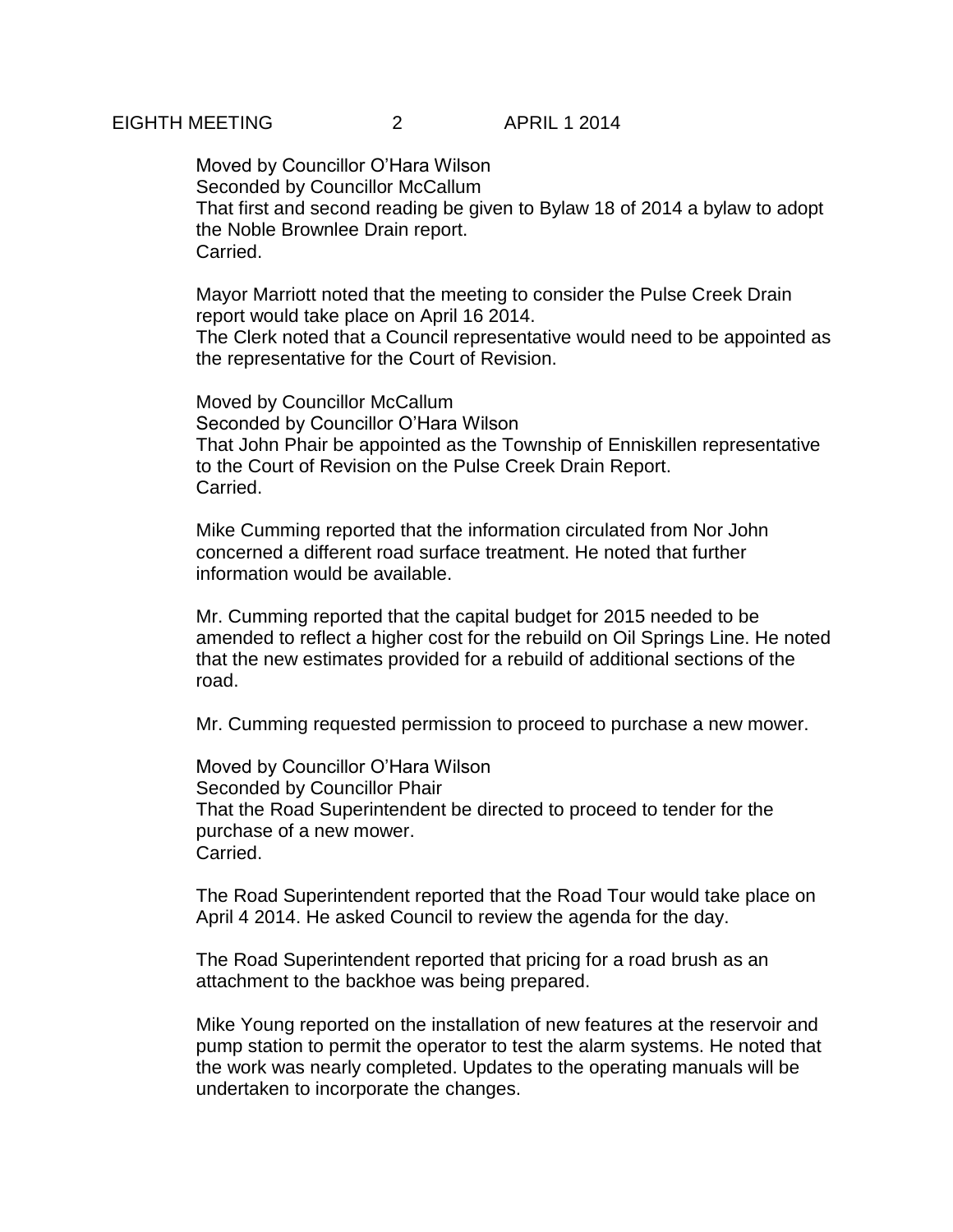Moved by Councillor O'Hara Wilson Seconded by Councillor McCallum That first and second reading be given to Bylaw 18 of 2014 a bylaw to adopt the Noble Brownlee Drain report. Carried.

Mayor Marriott noted that the meeting to consider the Pulse Creek Drain report would take place on April 16 2014. The Clerk noted that a Council representative would need to be appointed as the representative for the Court of Revision.

Moved by Councillor McCallum Seconded by Councillor O'Hara Wilson That John Phair be appointed as the Township of Enniskillen representative to the Court of Revision on the Pulse Creek Drain Report. Carried.

Mike Cumming reported that the information circulated from Nor John concerned a different road surface treatment. He noted that further information would be available.

Mr. Cumming reported that the capital budget for 2015 needed to be amended to reflect a higher cost for the rebuild on Oil Springs Line. He noted that the new estimates provided for a rebuild of additional sections of the road.

Mr. Cumming requested permission to proceed to purchase a new mower.

Moved by Councillor O'Hara Wilson Seconded by Councillor Phair That the Road Superintendent be directed to proceed to tender for the purchase of a new mower. Carried.

The Road Superintendent reported that the Road Tour would take place on April 4 2014. He asked Council to review the agenda for the day.

The Road Superintendent reported that pricing for a road brush as an attachment to the backhoe was being prepared.

Mike Young reported on the installation of new features at the reservoir and pump station to permit the operator to test the alarm systems. He noted that the work was nearly completed. Updates to the operating manuals will be undertaken to incorporate the changes.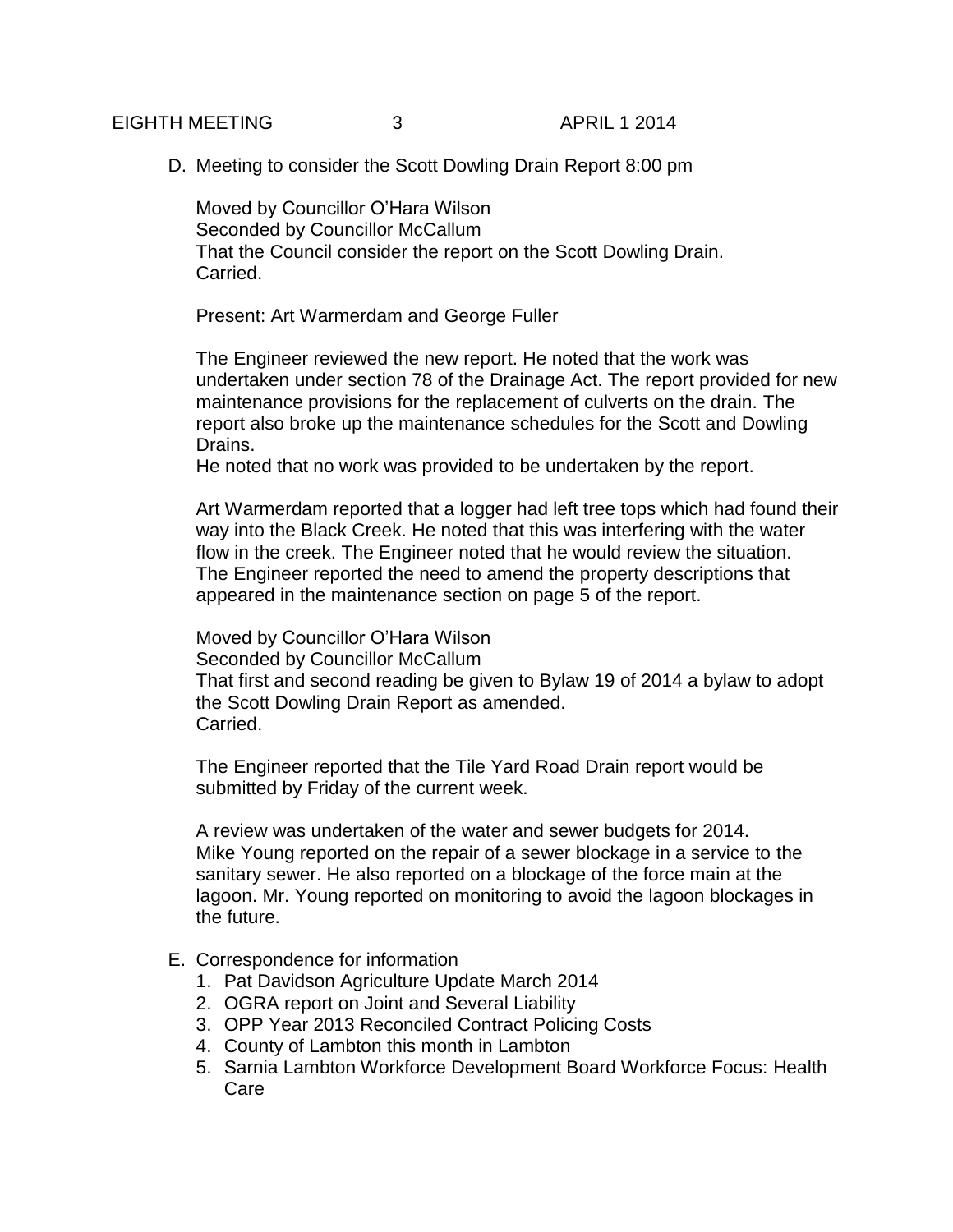## EIGHTH MEETING 3 APRIL 1 2014

D. Meeting to consider the Scott Dowling Drain Report 8:00 pm

Moved by Councillor O'Hara Wilson Seconded by Councillor McCallum That the Council consider the report on the Scott Dowling Drain. Carried.

Present: Art Warmerdam and George Fuller

The Engineer reviewed the new report. He noted that the work was undertaken under section 78 of the Drainage Act. The report provided for new maintenance provisions for the replacement of culverts on the drain. The report also broke up the maintenance schedules for the Scott and Dowling Drains.

He noted that no work was provided to be undertaken by the report.

Art Warmerdam reported that a logger had left tree tops which had found their way into the Black Creek. He noted that this was interfering with the water flow in the creek. The Engineer noted that he would review the situation. The Engineer reported the need to amend the property descriptions that appeared in the maintenance section on page 5 of the report.

Moved by Councillor O'Hara Wilson Seconded by Councillor McCallum That first and second reading be given to Bylaw 19 of 2014 a bylaw to adopt the Scott Dowling Drain Report as amended. Carried.

The Engineer reported that the Tile Yard Road Drain report would be submitted by Friday of the current week.

A review was undertaken of the water and sewer budgets for 2014. Mike Young reported on the repair of a sewer blockage in a service to the sanitary sewer. He also reported on a blockage of the force main at the lagoon. Mr. Young reported on monitoring to avoid the lagoon blockages in the future.

- E. Correspondence for information
	- 1. Pat Davidson Agriculture Update March 2014
	- 2. OGRA report on Joint and Several Liability
	- 3. OPP Year 2013 Reconciled Contract Policing Costs
	- 4. County of Lambton this month in Lambton
	- 5. Sarnia Lambton Workforce Development Board Workforce Focus: Health Care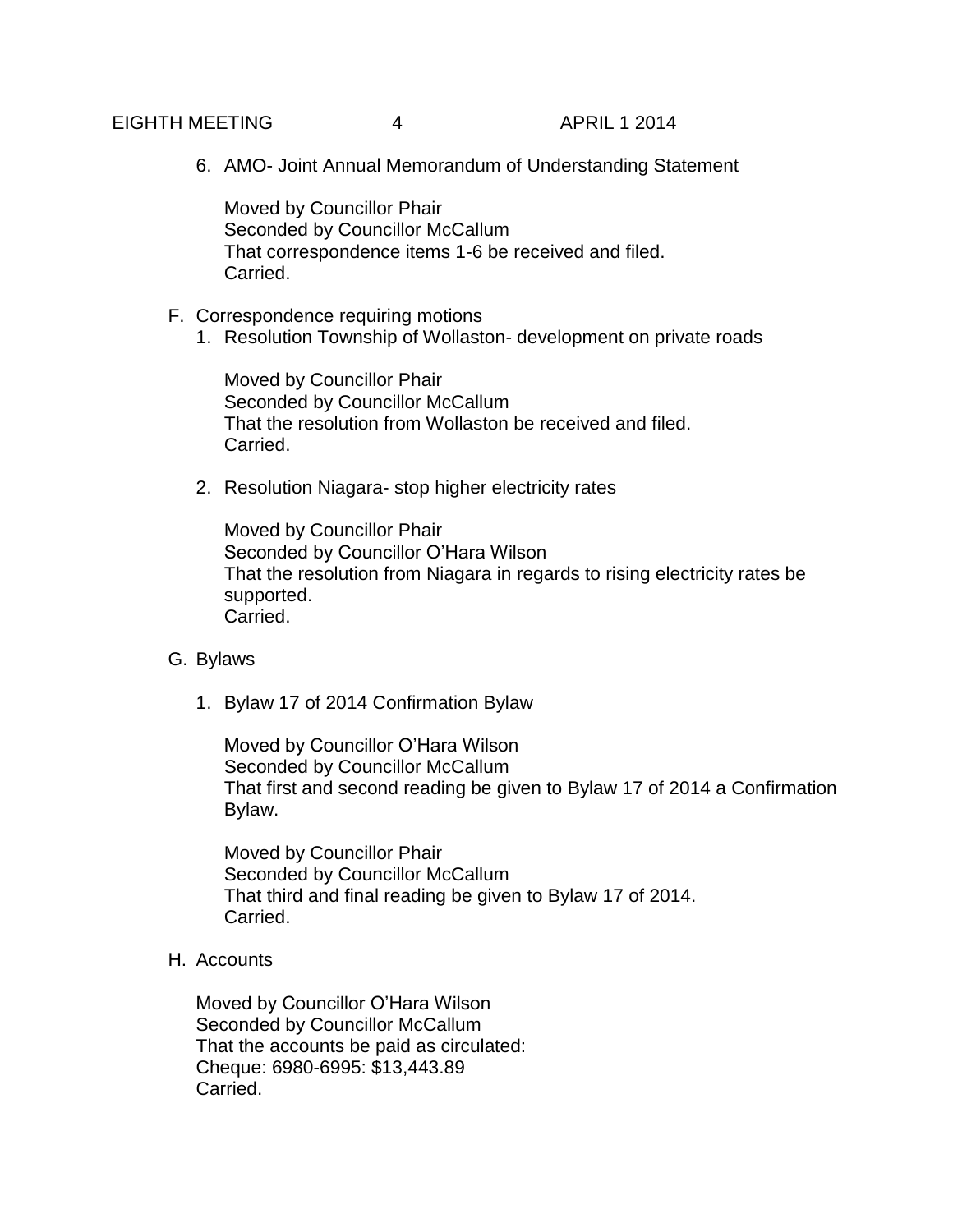## EIGHTH MEETING 4 APRIL 1 2014

6. AMO- Joint Annual Memorandum of Understanding Statement

Moved by Councillor Phair Seconded by Councillor McCallum That correspondence items 1-6 be received and filed. Carried.

#### F. Correspondence requiring motions

1. Resolution Township of Wollaston- development on private roads

Moved by Councillor Phair Seconded by Councillor McCallum That the resolution from Wollaston be received and filed. Carried.

2. Resolution Niagara- stop higher electricity rates

Moved by Councillor Phair Seconded by Councillor O'Hara Wilson That the resolution from Niagara in regards to rising electricity rates be supported. Carried.

#### G. Bylaws

1. Bylaw 17 of 2014 Confirmation Bylaw

Moved by Councillor O'Hara Wilson Seconded by Councillor McCallum That first and second reading be given to Bylaw 17 of 2014 a Confirmation Bylaw.

Moved by Councillor Phair Seconded by Councillor McCallum That third and final reading be given to Bylaw 17 of 2014. Carried.

#### H. Accounts

Moved by Councillor O'Hara Wilson Seconded by Councillor McCallum That the accounts be paid as circulated: Cheque: 6980-6995: \$13,443.89 Carried.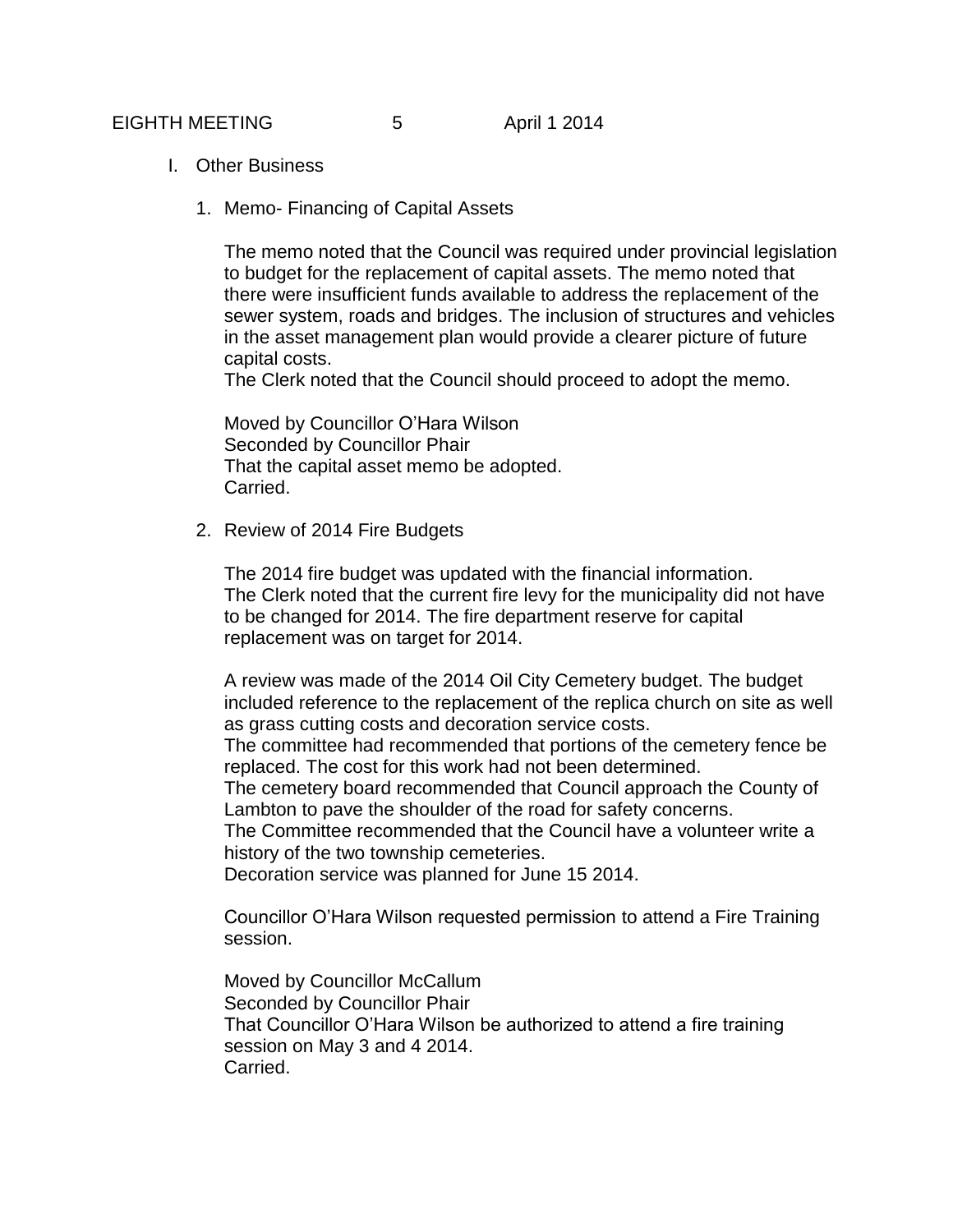- I. Other Business
	- 1. Memo- Financing of Capital Assets

The memo noted that the Council was required under provincial legislation to budget for the replacement of capital assets. The memo noted that there were insufficient funds available to address the replacement of the sewer system, roads and bridges. The inclusion of structures and vehicles in the asset management plan would provide a clearer picture of future capital costs.

The Clerk noted that the Council should proceed to adopt the memo.

Moved by Councillor O'Hara Wilson Seconded by Councillor Phair That the capital asset memo be adopted. Carried.

2. Review of 2014 Fire Budgets

The 2014 fire budget was updated with the financial information. The Clerk noted that the current fire levy for the municipality did not have to be changed for 2014. The fire department reserve for capital replacement was on target for 2014.

A review was made of the 2014 Oil City Cemetery budget. The budget included reference to the replacement of the replica church on site as well as grass cutting costs and decoration service costs.

The committee had recommended that portions of the cemetery fence be replaced. The cost for this work had not been determined.

The cemetery board recommended that Council approach the County of Lambton to pave the shoulder of the road for safety concerns.

The Committee recommended that the Council have a volunteer write a history of the two township cemeteries.

Decoration service was planned for June 15 2014.

Councillor O'Hara Wilson requested permission to attend a Fire Training session.

Moved by Councillor McCallum Seconded by Councillor Phair That Councillor O'Hara Wilson be authorized to attend a fire training session on May 3 and 4 2014. Carried.